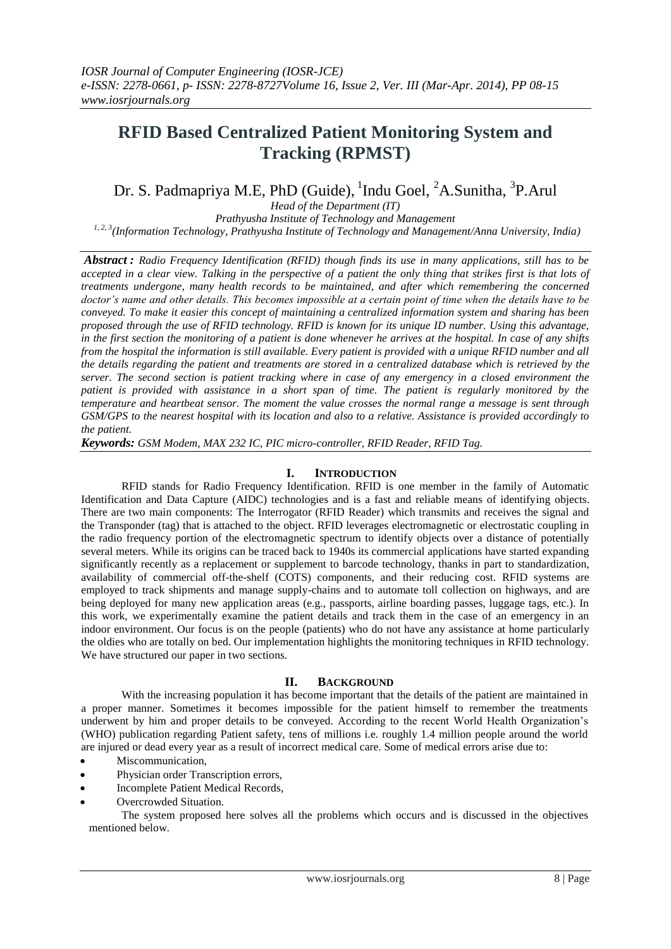## **RFID Based Centralized Patient Monitoring System and Tracking (RPMST)**

## Dr. S. Padmapriya M.E, PhD (Guide), <sup>1</sup>Indu Goel, <sup>2</sup>A.Sunitha, <sup>3</sup>P.Arul

*Head of the Department (IT) Prathyusha Institute of Technology and Management 1, 2, 3(Information Technology, Prathyusha Institute of Technology and Management/Anna University, India)*

*Abstract : Radio Frequency Identification (RFID) though finds its use in many applications, still has to be accepted in a clear view. Talking in the perspective of a patient the only thing that strikes first is that lots of treatments undergone, many health records to be maintained, and after which remembering the concerned doctor's name and other details. This becomes impossible at a certain point of time when the details have to be conveyed. To make it easier this concept of maintaining a centralized information system and sharing has been proposed through the use of RFID technology. RFID is known for its unique ID number. Using this advantage, in the first section the monitoring of a patient is done whenever he arrives at the hospital. In case of any shifts from the hospital the information is still available. Every patient is provided with a unique RFID number and all the details regarding the patient and treatments are stored in a centralized database which is retrieved by the server. The second section is patient tracking where in case of any emergency in a closed environment the patient is provided with assistance in a short span of time. The patient is regularly monitored by the temperature and heartbeat sensor. The moment the value crosses the normal range a message is sent through GSM/GPS to the nearest hospital with its location and also to a relative. Assistance is provided accordingly to the patient.*

*Keywords: GSM Modem, MAX 232 IC, PIC micro-controller, RFID Reader, RFID Tag.* 

## **I. INTRODUCTION**

RFID stands for Radio Frequency Identification. RFID is one member in the family of Automatic Identification and Data Capture (AIDC) technologies and is a fast and reliable means of identifying objects. There are two main components: The Interrogator (RFID Reader) which transmits and receives the signal and the Transponder (tag) that is attached to the object. RFID leverages electromagnetic or electrostatic coupling in the radio frequency portion of the electromagnetic spectrum to identify objects over a distance of potentially several meters. While its origins can be traced back to 1940s its commercial applications have started expanding significantly recently as a replacement or supplement to barcode technology, thanks in part to standardization, availability of commercial off-the-shelf (COTS) components, and their reducing cost. RFID systems are employed to track shipments and manage supply-chains and to automate toll collection on highways, and are being deployed for many new application areas (e.g., passports, airline boarding passes, luggage tags, etc.). In this work, we experimentally examine the patient details and track them in the case of an emergency in an indoor environment. Our focus is on the people (patients) who do not have any assistance at home particularly the oldies who are totally on bed. Our implementation highlights the monitoring techniques in RFID technology. We have structured our paper in two sections.

## **II. BACKGROUND**

With the increasing population it has become important that the details of the patient are maintained in a proper manner. Sometimes it becomes impossible for the patient himself to remember the treatments underwent by him and proper details to be conveyed. According to the recent World Health Organization's (WHO) publication regarding Patient safety, tens of millions i.e. roughly 1.4 million people around the world are injured or dead every year as a result of incorrect medical care. Some of medical errors arise due to:

- Miscommunication,
- Physician order Transcription errors,
- Incomplete Patient Medical Records,
- Overcrowded Situation.

The system proposed here solves all the problems which occurs and is discussed in the objectives mentioned below.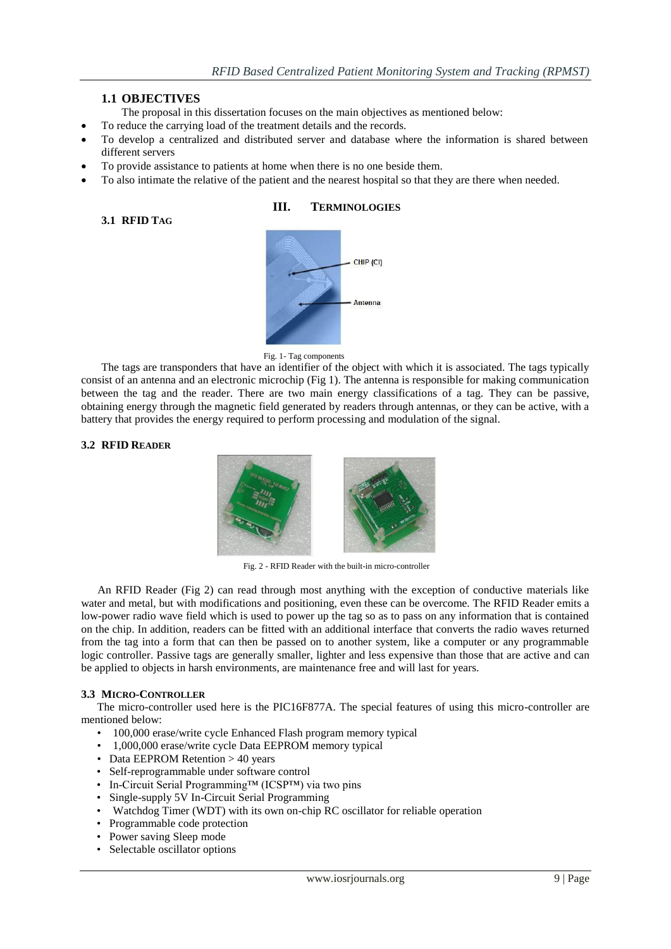## **1.1 OBJECTIVES**

- The proposal in this dissertation focuses on the main objectives as mentioned below:
- To reduce the carrying load of the treatment details and the records.
- To develop a centralized and distributed server and database where the information is shared between different servers
- To provide assistance to patients at home when there is no one beside them.
- To also intimate the relative of the patient and the nearest hospital so that they are there when needed.

## **3.1 RFID TAG**

## **III. TERMINOLOGIES**



Fig. 1- Tag components

The tags are transponders that have an identifier of the object with which it is associated. The tags typically consist of an antenna and an electronic microchip (Fig 1). The antenna is responsible for making communication between the tag and the reader. There are two main energy classifications of a tag. They can be passive, obtaining energy through the magnetic field generated by readers through antennas, or they can be active, with a battery that provides the energy required to perform processing and modulation of the signal.

## **3.2 RFID READER**



Fig. 2 - RFID Reader with the built-in micro-controller

An RFID Reader (Fig 2) can read through most anything with the exception of conductive materials like water and metal, but with modifications and positioning, even these can be overcome. The RFID Reader emits a low-power radio wave field which is used to power up the tag so as to pass on any information that is contained on the chip. In addition, readers can be fitted with an additional interface that converts the radio waves returned from the tag into a form that can then be passed on to another system, like a computer or any programmable logic controller. Passive tags are generally smaller, lighter and less expensive than those that are active and can be applied to objects in harsh environments, are maintenance free and will last for years.

### **3.3 MICRO-CONTROLLER**

The micro-controller used here is the PIC16F877A. The special features of using this micro-controller are mentioned below:

- 100,000 erase/write cycle Enhanced Flash program memory typical
- 1,000,000 erase/write cycle Data EEPROM memory typical
- Data EEPROM Retention > 40 years
- Self-reprogrammable under software control
- In-Circuit Serial Programming™ (ICSP™) via two pins
- Single-supply 5V In-Circuit Serial Programming
- Watchdog Timer (WDT) with its own on-chip RC oscillator for reliable operation
- Programmable code protection
- Power saving Sleep mode
- Selectable oscillator options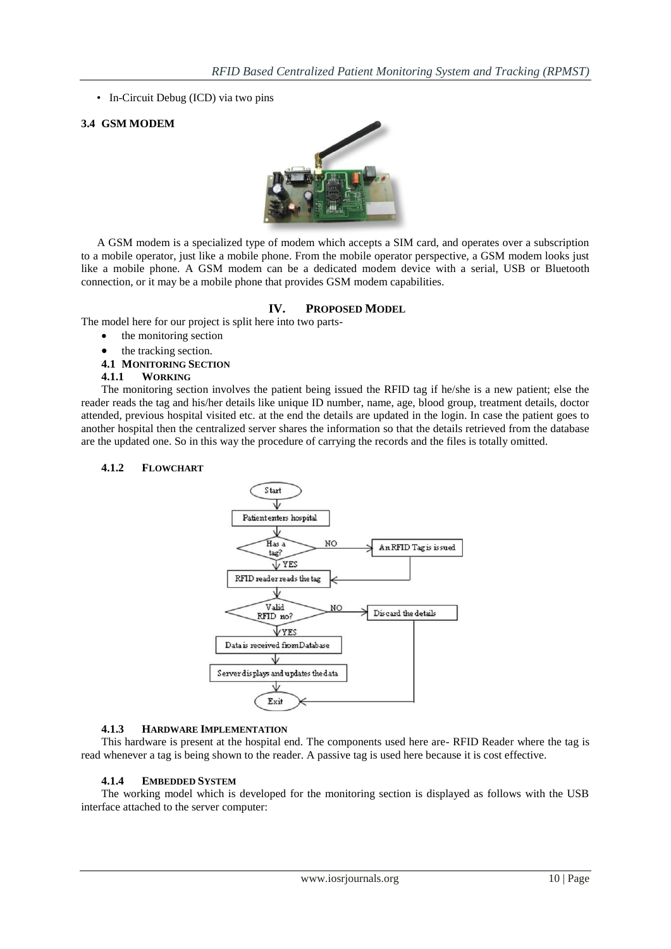• In-Circuit Debug (ICD) via two pins

## **3.4 GSM MODEM**



A GSM modem is a specialized type of modem which accepts a SIM card, and operates over a subscription to a mobile operator, just like a mobile phone. From the mobile operator perspective, a GSM modem looks just like a mobile phone. A GSM modem can be a dedicated modem device with a serial, USB or Bluetooth connection, or it may be a mobile phone that provides GSM modem capabilities.

## **IV. PROPOSED MODEL**

The model here for our project is split here into two parts-

- the monitoring section
- the tracking section.
- **4.1 MONITORING SECTION**
- **4.1.1 WORKING**

The monitoring section involves the patient being issued the RFID tag if he/she is a new patient; else the reader reads the tag and his/her details like unique ID number, name, age, blood group, treatment details, doctor attended, previous hospital visited etc. at the end the details are updated in the login. In case the patient goes to another hospital then the centralized server shares the information so that the details retrieved from the database are the updated one. So in this way the procedure of carrying the records and the files is totally omitted.

## **4.1.2 FLOWCHART**



### **4.1.3 HARDWARE IMPLEMENTATION**

This hardware is present at the hospital end. The components used here are- RFID Reader where the tag is read whenever a tag is being shown to the reader. A passive tag is used here because it is cost effective.

### **4.1.4 EMBEDDED SYSTEM**

The working model which is developed for the monitoring section is displayed as follows with the USB interface attached to the server computer: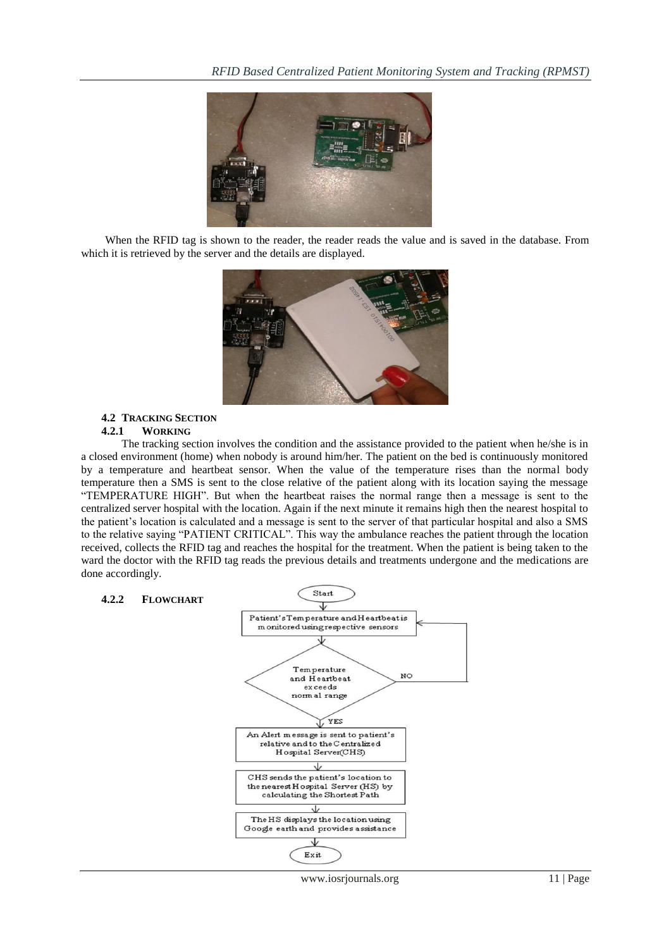

When the RFID tag is shown to the reader, the reader reads the value and is saved in the database. From which it is retrieved by the server and the details are displayed.



#### **4.2 TRACKING SECTION 4.2.1 WORKING**

The tracking section involves the condition and the assistance provided to the patient when he/she is in a closed environment (home) when nobody is around him/her. The patient on the bed is continuously monitored by a temperature and heartbeat sensor. When the value of the temperature rises than the normal body temperature then a SMS is sent to the close relative of the patient along with its location saying the message "TEMPERATURE HIGH". But when the heartbeat raises the normal range then a message is sent to the centralized server hospital with the location. Again if the next minute it remains high then the nearest hospital to the patient's location is calculated and a message is sent to the server of that particular hospital and also a SMS to the relative saying "PATIENT CRITICAL". This way the ambulance reaches the patient through the location received, collects the RFID tag and reaches the hospital for the treatment. When the patient is being taken to the ward the doctor with the RFID tag reads the previous details and treatments undergone and the medications are done accordingly.



#### www.iosrjournals.org 11 | Page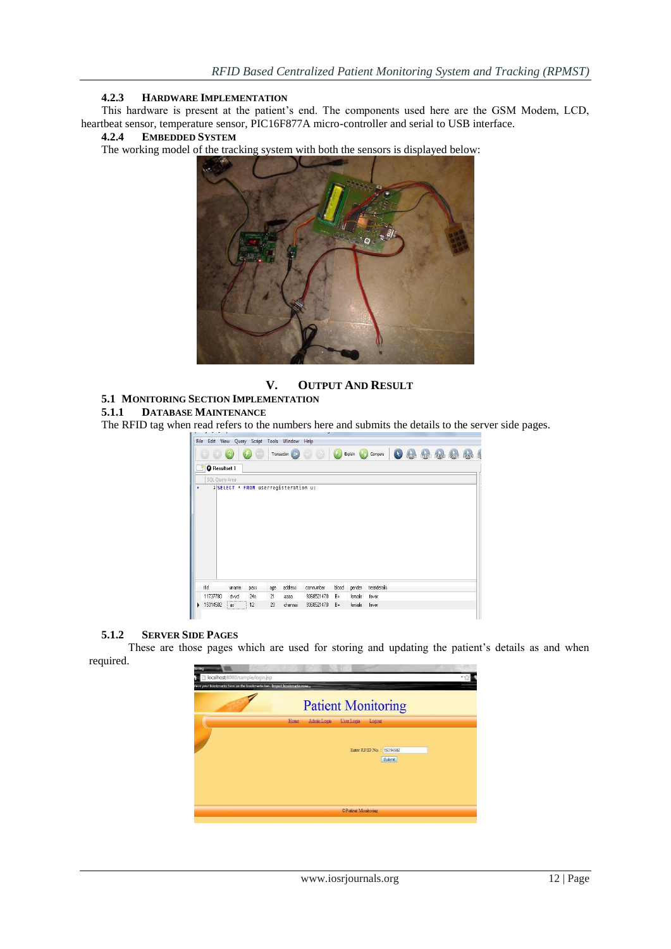## **4.2.3 HARDWARE IMPLEMENTATION**

This hardware is present at the patient's end. The components used here are the GSM Modem, LCD, heartbeat sensor, temperature sensor, PIC16F877A micro-controller and serial to USB interface.<br>4.2.4 EMBEDDED SYSTEM

## **4.2.4 EMBEDDED SYSTEM**

The working model of the tracking system with both the sensors is displayed below:



**V. OUTPUT AND RESULT**

# **5.1 MONITORING SECTION IMPLEMENTATION**

### **5.1.1 DATABASE MAINTENANCE**

The RFID tag when read refers to the numbers here and submits the details to the server side pages.

|                      |                          |      |     | Transaction (ID)                     |            |       |        | Explain (2) Compare | (k | stuter | $(\frac{1}{2})$ | <b>WHERE</b> | GROUP | <b>HAVING</b> |
|----------------------|--------------------------|------|-----|--------------------------------------|------------|-------|--------|---------------------|----|--------|-----------------|--------------|-------|---------------|
| <b>O</b> Resultset 1 |                          |      |     |                                      |            |       |        |                     |    |        |                 |              |       |               |
| SQL Query Area       |                          |      |     |                                      |            |       |        |                     |    |        |                 |              |       |               |
|                      |                          |      |     | 1 SELECT * FROM userregisteration u; |            |       |        |                     |    |        |                 |              |       |               |
|                      |                          |      |     |                                      |            |       |        |                     |    |        |                 |              |       |               |
|                      |                          |      |     |                                      |            |       |        |                     |    |        |                 |              |       |               |
|                      |                          |      |     |                                      |            |       |        |                     |    |        |                 |              |       |               |
|                      |                          |      |     |                                      |            |       |        |                     |    |        |                 |              |       |               |
|                      |                          |      |     |                                      |            |       |        |                     |    |        |                 |              |       |               |
|                      |                          |      |     |                                      |            |       |        |                     |    |        |                 |              |       |               |
|                      |                          |      |     |                                      |            |       |        |                     |    |        |                 |              |       |               |
|                      |                          |      |     |                                      |            |       |        |                     |    |        |                 |              |       |               |
|                      |                          |      |     |                                      |            |       |        |                     |    |        |                 |              |       |               |
|                      |                          |      |     |                                      |            |       |        |                     |    |        |                 |              |       |               |
| rfid                 | uname                    | pass | age | address                              | connumber  | blood | gender | treatdetails        |    |        |                 |              |       |               |
| 11737780             | dvvd<br>**************** | 24s  | 21  | 8888                                 | 9368521470 | $B+$  | female | fever               |    |        |                 |              |       |               |

#### **5.1.2 SERVER SIDE PAGES**

These are those pages which are used for storing and updating the patient's details as and when required.

| toring<br>localhost 8080/sample/login.jsp                           |                                                                         |  |
|---------------------------------------------------------------------|-------------------------------------------------------------------------|--|
| lace your bookmarks here on the bookmarks bar. Import bookmarks now | <b>Patient Monitoring</b>                                               |  |
|                                                                     | Admin Login<br>User Login<br>Home<br>Logout<br>Enter RFID No.: 15314502 |  |
|                                                                     | Submit                                                                  |  |
|                                                                     | CPatient Monitoring                                                     |  |
|                                                                     |                                                                         |  |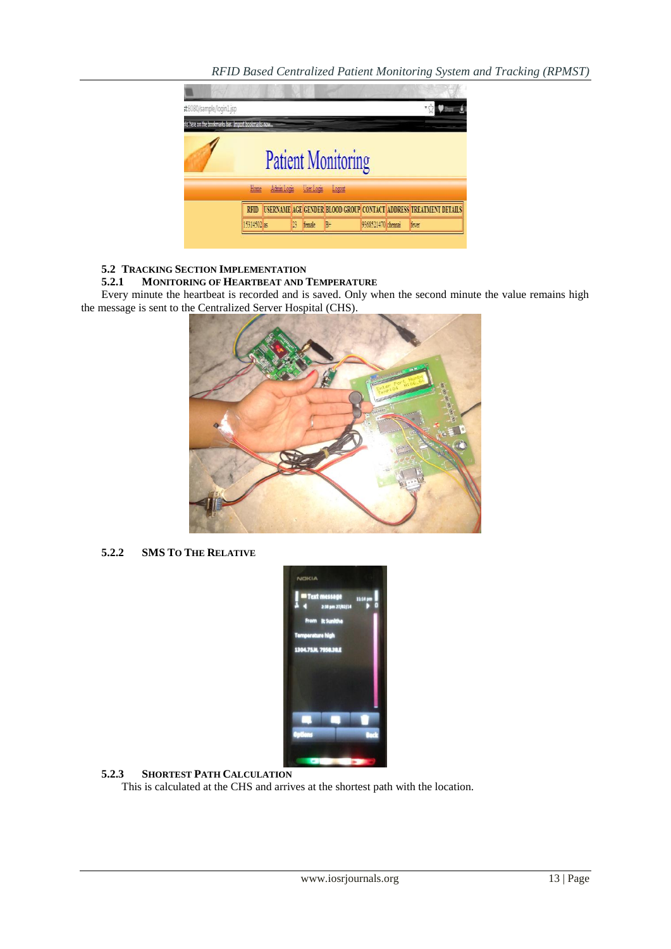

# **5.2 TRACKING SECTION IMPLEMENTATION**

### **5.2.1 MONITORING OF HEARTBEAT AND TEMPERATURE**

Every minute the heartbeat is recorded and is saved. Only when the second minute the value remains high the message is sent to the Centralized Server Hospital (CHS).



**5.2.2 SMS TO THE RELATIVE**



**5.2.3 SHORTEST PATH CALCULATION**

This is calculated at the CHS and arrives at the shortest path with the location.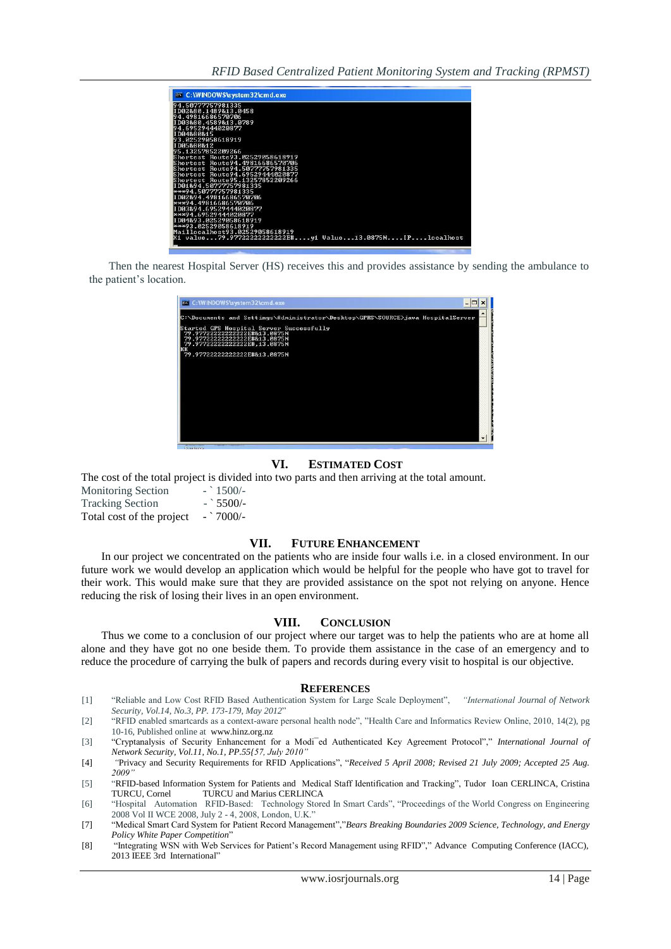| ox C: WINDOWS \system 32\cmd.exe                                   |
|--------------------------------------------------------------------|
| 194.50777757981335                                                 |
| ID02880.1489813.0458<br>94.49816686570706                          |
| II DØ3&8Ø.4589&13.0789                                             |
| 94.69529444020877                                                  |
| ID04880815                                                         |
| 93.02529058618919                                                  |
| ID05880812                                                         |
| 95.13257852209266                                                  |
| Shortest Route93.02529058618919                                    |
| Shortest Route94.49816686570706                                    |
| Shortest Route94.50777757981335                                    |
| Shortest Route94.69529444020877<br>Shortest Route95.13257852209266 |
| ID01894.50777757981335                                             |
| ***94.50777757981335                                               |
| ID02894.49816686570706                                             |
| ***94.49816686570706                                               |
| TDA3894.69529444A2A877                                             |
| ***94.69529444020877                                               |
| ID04&93.02529058618919                                             |
| ***93.02529058618919                                               |
| Maillocalhost93.02529058618919                                     |
|                                                                    |
|                                                                    |

Then the nearest Hospital Server (HS) receives this and provides assistance by sending the ambulance to the patient's location.

| cx C: WINDOWS \system 32\cmd.exe                                                                                                         |  |
|------------------------------------------------------------------------------------------------------------------------------------------|--|
| C:\Documents and Settings\Administrator\Desktop\GPRS\SOURCE>java HospitalServer                                                          |  |
| Started GPS Hospital Server Successfully<br>79.97722222222222E#&13.0875N<br>79.97722222222222E#&13.0875N<br>79.97722222222222E#.13.0875N |  |
| KК<br>79.97722222222222E#&13.0875N                                                                                                       |  |
|                                                                                                                                          |  |
|                                                                                                                                          |  |
|                                                                                                                                          |  |
|                                                                                                                                          |  |
|                                                                                                                                          |  |
|                                                                                                                                          |  |

#### **VI. ESTIMATED COST**

The cost of the total project is divided into two parts and then arriving at the total amount.

| <b>Monitoring Section</b> | $-$ 1500/- |
|---------------------------|------------|
| <b>Tracking Section</b>   | $-$ 5500/- |
| Total cost of the project | $-$ 7000/- |

#### **VII. FUTURE ENHANCEMENT**

In our project we concentrated on the patients who are inside four walls i.e. in a closed environment. In our future work we would develop an application which would be helpful for the people who have got to travel for their work. This would make sure that they are provided assistance on the spot not relying on anyone. Hence reducing the risk of losing their lives in an open environment.

#### **VIII. CONCLUSION**

Thus we come to a conclusion of our project where our target was to help the patients who are at home all alone and they have got no one beside them. To provide them assistance in the case of an emergency and to reduce the procedure of carrying the bulk of papers and records during every visit to hospital is our objective.

#### **REFERENCES**

- [1] "Reliable and Low Cost RFID Based Authentication System for Large Scale Deployment", *"International Journal of Network Security, Vol.14, No.3, PP. 173-179, May 2012*"
- [2] "RFID enabled smartcards as a context-aware personal health node", "Health Care and Informatics Review Online, 2010, 14(2), pg 10-16, Published online at [www.hinz.org.nz](http://www.hinz.org.nz/)
- [3] "Cryptanalysis of Security Enhancement for a Modi¯ed Authenticated Key Agreement Protocol"," *International Journal of Network Security, Vol.11, No.1, PP.55{57, July 2010"*
- [4] *"*Privacy and Security Requirements for RFID Applications", "*Received 5 April 2008; Revised 21 July 2009; Accepted 25 Aug. 2009"*
- [5] "RFID-based Information System for Patients and Medical Staff Identification and Tracking", Tudor Ioan CERLINCA, Cristina TURCU, Cornel TURCU and Marius CERLINCA
- [6] "Hospital Automation RFID-Based: Technology Stored In Smart Cards", "Proceedings of the World Congress on Engineering 2008 Vol II WCE 2008, July 2 - 4, 2008, London, U.K."
- [7] "Medical Smart Card System for Patient Record Management","*Bears Breaking Boundaries 2009 Science, Technology, and Energy Policy White Paper Competition*"
- [8] "Integrating WSN with Web Services for Patient's Record Management using RFID"," [Advance Computing Conference \(IACC\),](http://ieeexplore.ieee.org/xpl/mostRecentIssue.jsp?punumber=6495610)  [2013 IEEE 3rd International"](http://ieeexplore.ieee.org/xpl/mostRecentIssue.jsp?punumber=6495610)